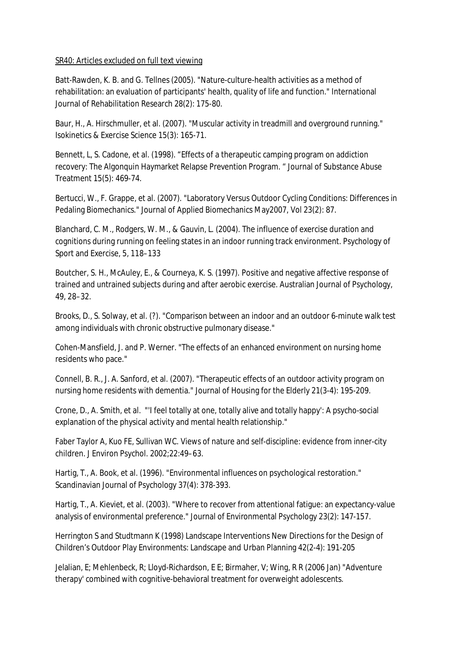## SR40: Articles excluded on full text viewing

Batt-Rawden, K. B. and G. Tellnes (2005). "Nature-culture-health activities as a method of rehabilitation: an evaluation of participants' health, quality of life and function." International Journal of Rehabilitation Research 28(2): 175-80.

Baur, H., A. Hirschmuller, et al. (2007). "Muscular activity in treadmill and overground running." Isokinetics & Exercise Science 15(3): 165-71.

Bennett, L, S. Cadone, et al. (1998). "Effects of a therapeutic camping program on addiction recovery: The Algonquin Haymarket Relapse Prevention Program. " Journal of Substance Abuse Treatment 15(5): 469-74.

Bertucci, W., F. Grappe, et al. (2007). "Laboratory Versus Outdoor Cycling Conditions: Differences in Pedaling Biomechanics." Journal of Applied Biomechanics May2007, Vol 23(2): 87.

Blanchard, C. M., Rodgers, W. M., & Gauvin, L. (2004). The influence of exercise duration and cognitions during running on feeling states in an indoor running track environment. Psychology of Sport and Exercise, 5, 118–133

Boutcher, S. H., McAuley, E., & Courneya, K. S. (1997). Positive and negative affective response of trained and untrained subjects during and after aerobic exercise. Australian Journal of Psychology, 49, 28–32.

Brooks, D., S. Solway, et al. (?). "Comparison between an indoor and an outdoor 6-minute walk test among individuals with chronic obstructive pulmonary disease."

Cohen-Mansfield, J. and P. Werner. "The effects of an enhanced environment on nursing home residents who pace."

Connell, B. R., J. A. Sanford, et al. (2007). "Therapeutic effects of an outdoor activity program on nursing home residents with dementia." Journal of Housing for the Elderly 21(3-4): 195-209.

Crone, D., A. Smith, et al. "'I feel totally at one, totally alive and totally happy': A psycho-social explanation of the physical activity and mental health relationship."

Faber Taylor A, Kuo FE, Sullivan WC. Views of nature and self-discipline: evidence from inner-city children. J Environ Psychol. 2002;22:49–63.

Hartig, T., A. Book, et al. (1996). "Environmental influences on psychological restoration." Scandinavian Journal of Psychology 37(4): 378-393.

Hartig, T., A. Kieviet, et al. (2003). "Where to recover from attentional fatigue: an expectancy-value analysis of environmental preference." Journal of Environmental Psychology 23(2): 147-157.

Herrington S and Studtmann K (1998) Landscape Interventions New Directions for the Design of Children's Outdoor Play Environments: Landscape and Urban Planning 42(2-4): 191-205

Jelalian, E; Mehlenbeck, R; Lloyd-Richardson, E E; Birmaher, V; Wing, R R (2006 Jan) "Adventure therapy' combined with cognitive-behavioral treatment for overweight adolescents.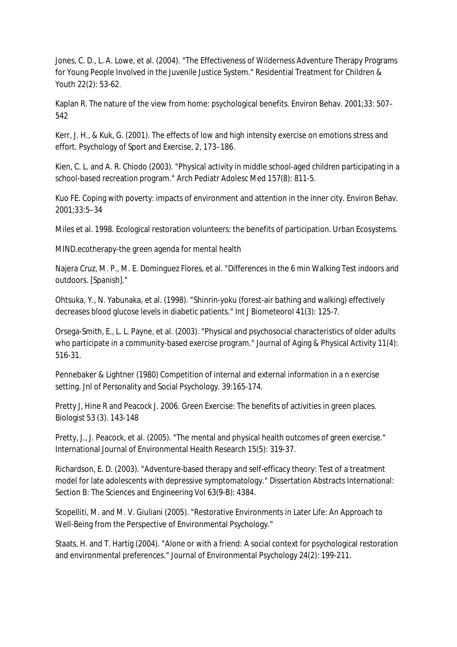Jones, C. D., L. A. Lowe, et al. (2004). "The Effectiveness of Wilderness Adventure Therapy Programs for Young People Involved in the Juvenile Justice System." Residential Treatment for Children & Youth 22(2): 53-62.

Kaplan R. The nature of the view from home: psychological benefits. Environ Behav. 2001;33: 507– 542

Kerr, J. H., & Kuk, G. (2001). The effects of low and high intensity exercise on emotions stress and effort. Psychology of Sport and Exercise, 2, 173–186.

Kien, C. L. and A. R. Chiodo (2003). "Physical activity in middle school-aged children participating in a school-based recreation program." Arch Pediatr Adolesc Med 157(8): 811-5.

Kuo FE. Coping with poverty: impacts of environment and attention in the inner city. Environ Behav. 2001;33:5–34

Miles et al. 1998. Ecological restoration volunteers: the benefits of participation. Urban Ecosystems.

MIND.ecotherapy-the green agenda for mental health

Najera Cruz, M. P., M. E. Dominguez Flores, et al. "Differences in the 6 min Walking Test indoors and outdoors. [Spanish]."

Ohtsuka, Y., N. Yabunaka, et al. (1998). "Shinrin-yoku (forest-air bathing and walking) effectively decreases blood glucose levels in diabetic patients." Int J Biometeorol 41(3): 125-7.

Orsega-Smith, E., L. L. Payne, et al. (2003). "Physical and psychosocial characteristics of older adults who participate in a community-based exercise program." Journal of Aging & Physical Activity 11(4): 516-31.

Pennebaker & Lightner (1980) Competition of internal and external information in a n exercise setting. Jnl of Personality and Social Psychology. 39:165-174.

Pretty J, Hine R and Peacock J. 2006. Green Exercise: The benefits of activities in green places. Biologist 53 (3). 143-148

Pretty, J., J. Peacock, et al. (2005). "The mental and physical health outcomes of green exercise." International Journal of Environmental Health Research 15(5): 319-37.

Richardson, E. D. (2003). "Adventure-based therapy and self-efficacy theory: Test of a treatment model for late adolescents with depressive symptomatology." Dissertation Abstracts International: Section B: The Sciences and Engineering Vol 63(9-B): 4384.

Scopelliti, M. and M. V. Giuliani (2005). "Restorative Environments in Later Life: An Approach to Well-Being from the Perspective of Environmental Psychology."

Staats, H. and T. Hartig (2004). "Alone or with a friend: A social context for psychological restoration and environmental preferences." Journal of Environmental Psychology 24(2): 199-211.